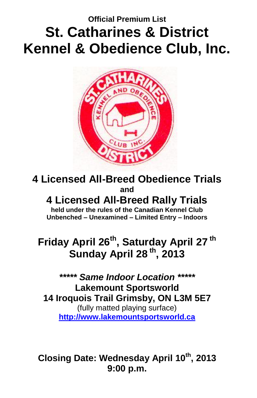## **Official Premium List St. Catharines & District Kennel & Obedience Club, Inc.**



**4 Licensed All-Breed Obedience Trials and**

**4 Licensed All-Breed Rally Trials held under the rules of the Canadian Kennel Club Unbenched – Unexamined – Limited Entry – Indoors**

## **Friday April 26 th , Saturday April 27 th Sunday April 28 th, 2013**

*\*\*\*\*\* Same Indoor Location \*\*\*\*\** **Lakemount Sportsworld 14 Iroquois Trail Grimsby, ON L3M 5E7** (fully matted playing surface) **[http://www.lakemountsportsworld.ca](http://www.lakemountsportsworld.ca/)**

**Closing Date: Wednesday April 10th , 2013 9:00 p.m.**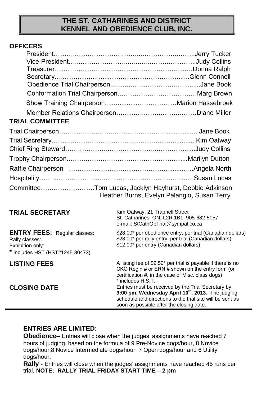#### **THE ST. CATHARINES AND DISTRICT KENNEL AND OBEDIENCE CLUB, INC.**

#### **OFFICERS**

| <b>TRIAL COMMITTEE</b>                                                                                       |                                                                                                                                                                                                                              |
|--------------------------------------------------------------------------------------------------------------|------------------------------------------------------------------------------------------------------------------------------------------------------------------------------------------------------------------------------|
|                                                                                                              |                                                                                                                                                                                                                              |
|                                                                                                              |                                                                                                                                                                                                                              |
|                                                                                                              |                                                                                                                                                                                                                              |
|                                                                                                              |                                                                                                                                                                                                                              |
|                                                                                                              |                                                                                                                                                                                                                              |
|                                                                                                              |                                                                                                                                                                                                                              |
|                                                                                                              | CommitteeTom Lucas, Jacklyn Hayhurst, Debbie Adkinson<br>Heather Burns, Evelyn Palangio, Susan Terry                                                                                                                         |
| <b>TRIAL SECRETARY</b>                                                                                       | Kim Oatway, 21 Trapnell Street<br>St. Catharines, ON, L2R 1B1, 905-682-5057<br>e-mail: StCathObTrial@sympatico.ca                                                                                                            |
| <b>ENTRY FEES:</b> Regular classes:<br>Rally classes:<br>Exhibition only:<br>* includes HST (HST#1245-80473) | \$28.00* per obedience entry, per trial (Canadian dollars)<br>\$28.00* per rally entry, per trial (Canadian dollars)<br>\$12.00* per entry (Canadian dollars)                                                                |
| <b>LISTING FEES</b>                                                                                          | A listing fee of \$9.50* per trial is payable if there is no<br>CKC Reg'n # or ERN # shown on the entry form (or<br>certification #, in the case of Misc. class dogs)<br>* includes H.S.T.                                   |
| <b>CLOSING DATE</b>                                                                                          | Entries must be received by the Trial Secretary by<br>9:00 pm, Wednesday April 10 <sup>th</sup> , 2013. The judging<br>schedule and directions to the trial site will be sent as<br>soon as possible after the closing date. |

#### **ENTRIES ARE LIMITED:**

**Obedience–** Entries will close when the judges' assignments have reached 7 hours of judging, based on the formula of 9 Pre-Novice dogs/hour, 8 Novice dogs/hour,8 Novice Intermediate dogs/hour, 7 Open dogs/hour and 6 Utility dogs/hour.

**Rally -** Entries will close when the judges' assignments have reached 45 runs per trial. **NOTE: RALLY TRIAL FRIDAY START TIME – 2 pm**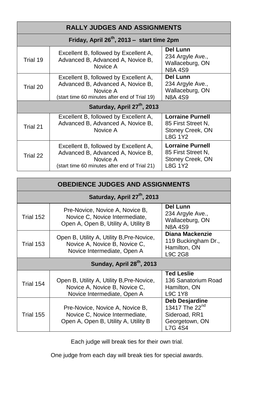| <b>RALLY JUDGES AND ASSIGNMENTS</b>             |                                                                                                                                         |                                                                              |  |  |
|-------------------------------------------------|-----------------------------------------------------------------------------------------------------------------------------------------|------------------------------------------------------------------------------|--|--|
| Friday, April $26^{th}$ , 2013 – start time 2pm |                                                                                                                                         |                                                                              |  |  |
| Trial 19                                        | Excellent B, followed by Excellent A,<br>Advanced B, Advanced A, Novice B,<br>Novice A                                                  | Del Lunn<br>234 Argyle Ave.,<br>Wallaceburg, ON<br>N8A 4S9                   |  |  |
| Trial 20                                        | Excellent B, followed by Excellent A,<br>Advanced B, Advanced A, Novice B,<br>Novice A<br>(start time 60 minutes after end of Trial 19) | Del Lunn<br>234 Argyle Ave.,<br>Wallaceburg, ON<br>N8A 4S9                   |  |  |
| Saturday, April 27 <sup>th</sup> , 2013         |                                                                                                                                         |                                                                              |  |  |
| Trial 21                                        | Excellent B, followed by Excellent A,<br>Advanced B, Advanced A, Novice B,<br>Novice A                                                  | Lorraine Purnell<br>85 First Street N.<br>Stoney Creek, ON<br>L8G 1Y2        |  |  |
| Trial 22                                        | Excellent B, followed by Excellent A,<br>Advanced B, Advanced A, Novice B,<br>Novice A<br>(start time 60 minutes after end of Trial 21) | <b>Lorraine Purnell</b><br>85 First Street N,<br>Stoney Creek, ON<br>L8G 1Y2 |  |  |

| <b>OBEDIENCE JUDGES AND ASSIGNMENTS</b> |                                                                                                           |                                                                                            |  |  |
|-----------------------------------------|-----------------------------------------------------------------------------------------------------------|--------------------------------------------------------------------------------------------|--|--|
| Saturday, April 27 <sup>th</sup> , 2013 |                                                                                                           |                                                                                            |  |  |
| Trial 152                               | Pre-Novice, Novice A, Novice B,<br>Novice C, Novice Intermediate,<br>Open A, Open B, Utility A, Utility B | Del Lunn<br>234 Argyle Ave.,<br>Wallaceburg, ON<br><b>N8A 4S9</b>                          |  |  |
| Trial 153                               | Open B, Utility A, Utility B, Pre-Novice,<br>Novice A, Novice B, Novice C,<br>Novice Intermediate, Open A | Diana Mackenzie<br>119 Buckingham Dr.,<br>Hamilton, ON<br>L9C 2G8                          |  |  |
| Sunday, April 28 <sup>th</sup> , 2013   |                                                                                                           |                                                                                            |  |  |
| Trial 154                               | Open B, Utility A, Utility B, Pre-Novice,<br>Novice A, Novice B, Novice C,<br>Novice Intermediate, Open A | <b>Ted Leslie</b><br>136 Sanatorium Road<br>Hamilton, ON<br>L9C 1Y8                        |  |  |
| Trial 155                               | Pre-Novice, Novice A, Novice B,<br>Novice C, Novice Intermediate,<br>Open A, Open B, Utility A, Utility B | Deb Desjardine<br>13417 The 22 <sup>nd</sup><br>Sideroad, RR1<br>Georgetown, ON<br>L7G 4S4 |  |  |

Each judge will break ties for their own trial.

One judge from each day will break ties for special awards.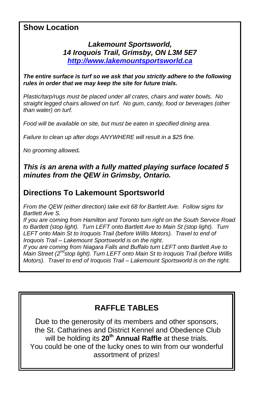## **Show Location**

### *Lakemount Sportsworld, 14 Iroquois Trail, Grimsby, ON L3M 5E7 [http://www.lakemountsportsworld.ca](http://www.lakemountsportsworld.ca/)*

*The entire surface is turf so we ask that you strictly adhere to the following rules in order that we may keep the site for future trials.* 

*Plastic/tarp/rugs must be placed under all crates, chairs and water bowls. No straight legged chairs allowed on turf. No gum, candy, food or beverages (other than water) on turf.* 

*Food will be available on site, but must be eaten in specified dining area.* 

*Failure to clean up after dogs ANYWHERE will result in a \$25 fine.* 

*No grooming allowed.*

### *This is an arena with a fully matted playing surface located 5 minutes from the QEW in Grimsby, Ontario.*

## **Directions To Lakemount Sportsworld**

*From the QEW (either direction) take exit 68 for Bartlett Ave. Follow signs for Bartlett Ave S.* 

*If you are coming from Hamilton and Toronto turn right on the South Service Road to Bartlett (stop light). Turn LEFT onto Bartlett Ave to Main St (stop light). Turn LEFT onto Main St to Iroquois Trail (before Willis Motors). Travel to end of Iroquois Trail – Lakemount Sportsworld is on the right.*

*If you are coming from Niagara Falls and Buffalo turn LEFT onto Bartlett Ave to*  Main Street (2<sup>nd</sup> stop light). Turn LEFT onto Main St to Iroquois Trail (before Willis *Motors). Travel to end of Iroquois Trail – Lakemount Sportsworld is on the right.*

## **RAFFLE TABLES**

Due to the generosity of its members and other sponsors, the St. Catharines and District Kennel and Obedience Club will be holding its **20th Annual Raffle** at these trials. You could be one of the lucky ones to win from our wonderful assortment of prizes!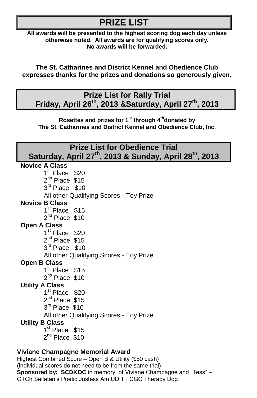## **PRIZE LIST**

**All awards will be presented to the highest scoring dog each day unless otherwise noted. All awards are for qualifying scores only. No awards will be forwarded.**

**The St. Catharines and District Kennel and Obedience Club expresses thanks for the prizes and donations so generously given.**

## **Prize List for Rally Trial Friday, April 26 th , 2013 &Saturday, April 27 th , 2013**

**Rosettes and prizes for 1st through 4 thdonated by The St. Catharines and District Kennel and Obedience Club, Inc.**

| <b>Prize List for Obedience Trial</b>                                           |  |  |
|---------------------------------------------------------------------------------|--|--|
| Saturday, April 27 <sup>th</sup> , 2013 & Sunday, April 28 <sup>th</sup> , 2013 |  |  |
| <b>Novice A Class</b>                                                           |  |  |
| 1 <sup>st</sup> Place \$20                                                      |  |  |
| $2^{nd}$ Place \$15                                                             |  |  |
| 3rd Place \$10                                                                  |  |  |
| All other Qualifying Scores - Toy Prize                                         |  |  |
| <b>Novice B Class</b>                                                           |  |  |
| 1 <sup>st</sup> Place \$15                                                      |  |  |
| $2^{nd}$ Place \$10                                                             |  |  |
| <b>Open A Class</b>                                                             |  |  |
| 1 <sup>st</sup> Place \$20                                                      |  |  |
| $2^{nd}$ Place \$15                                                             |  |  |
| 3rd Place \$10                                                                  |  |  |
| All other Qualifying Scores - Toy Prize                                         |  |  |
| <b>Open B Class</b><br>1 <sup>st</sup> Place \$15                               |  |  |
| $2^{nd}$ Place \$10                                                             |  |  |
| <b>Utility A Class</b>                                                          |  |  |
| 1 <sup>st</sup> Place \$20                                                      |  |  |
| $2^{nd}$ Place \$15                                                             |  |  |
| $3^{\text{rd}}$ Place \$10                                                      |  |  |
| All other Qualifying Scores - Toy Prize                                         |  |  |
| <b>Utility B Class</b>                                                          |  |  |
| 1 <sup>st</sup> Place \$15                                                      |  |  |
| $2^{nd}$ Place \$10                                                             |  |  |
|                                                                                 |  |  |

#### **Viviane Champagne Memorial Award**

Highest Combined Score – Open B & Utility (\$50 cash) (individual scores do not need to be from the same trial) **Sponsored by: SCDKOC** in memory of Viviane Champagne and "Tess" – OTCh Seilatan's Poetic Justess Am UD TT CGC Therapy Dog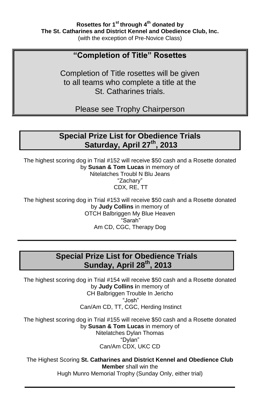## **"Completion of Title" Rosettes**

Completion of Title rosettes will be given to all teams who complete a title at the St. Catharines trials.

Please see Trophy Chairperson

## **Special Prize List for Obedience Trials Saturday, April 27th, 2013**

The highest scoring dog in Trial #152 will receive \$50 cash and a Rosette donated by **Susan & Tom Lucas** in memory of

Nitelatches Troubl N Blu Jeans "Zachary" CDX, RE, TT

The highest scoring dog in Trial #153 will receive \$50 cash and a Rosette donated by **Judy Collins** in memory of OTCH Balbriggen My Blue Heaven "Sarah" Am CD, CGC, Therapy Dog

## **Special Prize List for Obedience Trials Sunday, April 28 th , 2013**

The highest scoring dog in Trial #154 will receive \$50 cash and a Rosette donated by **Judy Collins i**n memory of CH Balbriggen Trouble In Jericho "Josh" Can/Am CD, TT, CGC, Herding Instinct

The highest scoring dog in Trial #155 will receive \$50 cash and a Rosette donated by **Susan & Tom Lucas** in memory of Nitelatches Dylan Thomas "Dylan" Can/Am CDX, UKC CD

The Highest Scoring **St. Catharines and District Kennel and Obedience Club Member** shall win the Hugh Munro Memorial Trophy (Sunday Only, either trial)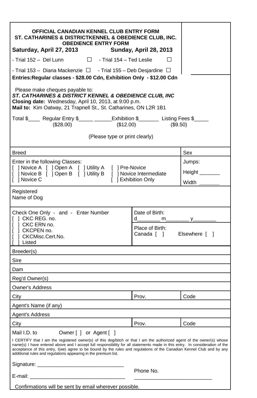| OFFICIAL CANADIAN KENNEL CLUB ENTRY FORM<br>ST. CATHARINES & DISTRICTKENNEL & OBEDIENCE CLUB, INC.<br><b>OBEDIENCE ENTRY FORM</b><br>Saturday, April 27, 2013                                                                                                                                                                                                                                                                                                                               | Sunday, April 28, 2013                      |        |  |
|---------------------------------------------------------------------------------------------------------------------------------------------------------------------------------------------------------------------------------------------------------------------------------------------------------------------------------------------------------------------------------------------------------------------------------------------------------------------------------------------|---------------------------------------------|--------|--|
|                                                                                                                                                                                                                                                                                                                                                                                                                                                                                             |                                             |        |  |
| - Trial 152 - Del Lunn $\Box$ - Trial 154 - Ted Leslie                                                                                                                                                                                                                                                                                                                                                                                                                                      | $\Box$                                      |        |  |
| - Trial 153 - Diana Mackenzie $\Box$ - Trial 155 - Deb Desjardine $\Box$<br>Entries: Regular classes - \$28.00 Cdn, Exhibition Only - \$12.00 Cdn                                                                                                                                                                                                                                                                                                                                           |                                             |        |  |
| Please make cheques payable to:<br>ST. CATHARINES & DISTRICT KENNEL & OBEDIENCE CLUB, INC<br>Closing date: Wednesday, April 10, 2013, at 9:00 p.m.<br>Mail to: Kim Oatway, 21 Trapnell St., St. Catharines, ON L2R 1B1                                                                                                                                                                                                                                                                      |                                             |        |  |
| Total \$_____ Regular Entry \$______ ______Exhibition \$________ Listing Fees \$_____<br>$(\$12.00)$<br>$(\$28.00)$                                                                                                                                                                                                                                                                                                                                                                         | $(\$9.50)$                                  |        |  |
| (Please type or print clearly)                                                                                                                                                                                                                                                                                                                                                                                                                                                              |                                             |        |  |
| Breed                                                                                                                                                                                                                                                                                                                                                                                                                                                                                       |                                             | Sex    |  |
| Enter in the following Classes:                                                                                                                                                                                                                                                                                                                                                                                                                                                             |                                             | Jumps: |  |
| [ ] Novice A [ ] Open A [ ] Utility A [ ] Pre-Novice<br>[ ] Novice B [ ] Open B [ ] Utility B [ ] Novice Intermediate                                                                                                                                                                                                                                                                                                                                                                       |                                             | Height |  |
| [ ] Novice C                                                                                                                                                                                                                                                                                                                                                                                                                                                                                | [ ] Exhibition Only                         | Width  |  |
| Registered<br>Name of Dog                                                                                                                                                                                                                                                                                                                                                                                                                                                                   |                                             |        |  |
| Check One Only - and - Enter Number<br>[ ] CKC REG. no.                                                                                                                                                                                                                                                                                                                                                                                                                                     | Date of Birth:<br>d                         |        |  |
| [ ] CKC ERN no.<br>1 CKCPEN no.<br>1 CKCMisc.Cert.No.<br>I I Listed                                                                                                                                                                                                                                                                                                                                                                                                                         | Place of Birth:<br>Canada [ ] Elsewhere [ ] |        |  |
| Breeder(s)                                                                                                                                                                                                                                                                                                                                                                                                                                                                                  |                                             |        |  |
| Sire                                                                                                                                                                                                                                                                                                                                                                                                                                                                                        |                                             |        |  |
| Dam                                                                                                                                                                                                                                                                                                                                                                                                                                                                                         |                                             |        |  |
| Reg'd Owner(s)                                                                                                                                                                                                                                                                                                                                                                                                                                                                              |                                             |        |  |
| <b>Owner's Address</b>                                                                                                                                                                                                                                                                                                                                                                                                                                                                      |                                             |        |  |
| City                                                                                                                                                                                                                                                                                                                                                                                                                                                                                        | Prov.                                       | Code   |  |
| Agent's Name (if any)                                                                                                                                                                                                                                                                                                                                                                                                                                                                       |                                             |        |  |
| Agent's Address                                                                                                                                                                                                                                                                                                                                                                                                                                                                             |                                             |        |  |
| City                                                                                                                                                                                                                                                                                                                                                                                                                                                                                        | Prov.                                       | Code   |  |
| Owner [ ] or Agent [ ]<br>Mail I.D. to<br>I CERTIFY that I am the registered owner(s) of this dog/bitch or that I am the authorized agent of the owner(s) whose<br>name(s) I have entered above and I accept full responsibility for all statements made in this entry. In consideration of the<br>acceptance of this entry, I(we) agree to be bound by the rules and regulations of the Canadian Kennel Club and by any<br>additional rules and regulations appearing in the premium list. |                                             |        |  |
| Signature: ___________________________                                                                                                                                                                                                                                                                                                                                                                                                                                                      |                                             |        |  |
| E-mail:                                                                                                                                                                                                                                                                                                                                                                                                                                                                                     | Phone No.                                   |        |  |
| Confirmations will be sent by email wherever possible.                                                                                                                                                                                                                                                                                                                                                                                                                                      |                                             |        |  |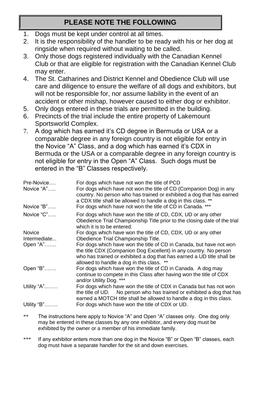## **PLEASE NOTE THE FOLLOWING**

- 1. Dogs must be kept under control at all times.
- 2. It is the responsibility of the handler to be ready with his or her dog at ringside when required without waiting to be called.
- 3. Only those dogs registered individually with the Canadian Kennel Club or that are eligible for registration with the Canadian Kennel Club may enter.
- 4. The St. Catharines and District Kennel and Obedience Club will use care and diligence to ensure the welfare of all dogs and exhibitors, but will not be responsible for, nor assume liability in the event of an accident or other mishap, however caused to either dog or exhibitor.
- 5. Only dogs entered in these trials are permitted in the building.
- 6. Precincts of the trial include the entire property of Lakemount Sportsworld Complex.
- 7. A dog which has earned it's CD degree in Bermuda or USA or a comparable degree in any foreign country is not eligible for entry in the Novice "A" Class, and a dog which has earned it's CDX in Bermuda or the USA or a comparable degree in any foreign country is not eligible for entry in the Open "A" Class. Such dogs must be entered in the "B" Classes respectively.

| Pre-Novice<br>Novice $A$ " | For dogs which have not won the title of PCD<br>For dogs which have not won the title of CD (Companion Dog) in any<br>country. No person who has trained or exhibited a dog that has earned<br>a CDX title shall be allowed to handle a dog in this class. **   |
|----------------------------|-----------------------------------------------------------------------------------------------------------------------------------------------------------------------------------------------------------------------------------------------------------------|
| Novice "B"                 | For dogs which have not won the title of CD in Canada. ***                                                                                                                                                                                                      |
| Novice "C"                 | For dogs which have won the title of CD, CDX, UD or any other<br>Obedience Trial Championship Title prior to the closing date of the trial<br>which it is to be entered.                                                                                        |
| Novice                     | For dogs which have won the title of CD, CDX, UD or any other                                                                                                                                                                                                   |
| Intermediate               | Obedience Trial Championship Title.                                                                                                                                                                                                                             |
| Open "A"                   | For dogs which have won the title of CD in Canada, but have not won<br>the title CDX (Companion Dog Excellent) in any country. No person<br>who has trained or exhibited a dog that has earned a UD title shall be<br>allowed to handle a dog in this class. ** |
| Open $B$ "                 | For dogs which have won the title of CD in Canada. A dog may<br>continue to compete in this Class after having won the title of CDX<br>and/or Utility Dog. ***                                                                                                  |
| Utility "A"                | For dogs which have won the title of CDX in Canada but has not won<br>the title of UD. No person who has trained or exhibited a dog that has<br>earned a MOTCH title shall be allowed to handle a dog in this class.                                            |
| Utility "B"                | For dogs which have won the title of CDX or UD.                                                                                                                                                                                                                 |

- \*\* The instructions here apply to Novice "A" and Open "A" classes only. One dog only may be entered in these classes by any one exhibitor, and every dog must be exhibited by the owner or a member of his immediate family.
- \*\*\* If any exhibitor enters more than one dog in the Novice "B" or Open "B" classes, each dog must have a separate handler for the sit and down exercises.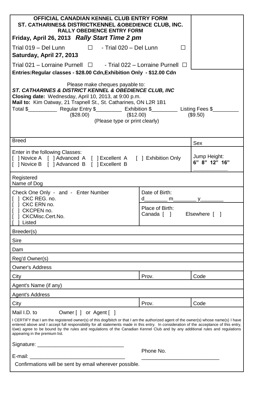| OFFICIAL CANADIAN KENNEL CLUB ENTRY FORM<br>ST. CATHARINES& DISTRICTKENNEL & OBEDIENCE CLUB, INC.<br><b>RALLY OBEDIENCE ENTRY FORM</b>                                                                                                                                                                                                                                                                                                                                                                                                    |                                                         |                               |  |
|-------------------------------------------------------------------------------------------------------------------------------------------------------------------------------------------------------------------------------------------------------------------------------------------------------------------------------------------------------------------------------------------------------------------------------------------------------------------------------------------------------------------------------------------|---------------------------------------------------------|-------------------------------|--|
| Friday, April 26, 2013 Rally Start Time 2 pm                                                                                                                                                                                                                                                                                                                                                                                                                                                                                              |                                                         |                               |  |
| Trial 019 - Del Lunn $\Box$ - Trial 020 - Del Lunn<br>п<br>Saturday, April 27, 2013                                                                                                                                                                                                                                                                                                                                                                                                                                                       |                                                         |                               |  |
| Trial 021 - Lorraine Purnell $\Box$ - Trial 022 - Lorraine Purnell $\Box$                                                                                                                                                                                                                                                                                                                                                                                                                                                                 |                                                         |                               |  |
| Entries: Regular classes - \$28.00 Cdn, Exhibition Only - \$12.00 Cdn                                                                                                                                                                                                                                                                                                                                                                                                                                                                     |                                                         |                               |  |
| Please make cheques payable to:<br><b>ST. CATHARINES &amp; DISTRICT KENNEL &amp; OBEDIENCE CLUB. INC.</b><br>Closing date: Wednesday, April 10, 2013, at 9:00 p.m.<br>Mail to: Kim Oatway, 21 Trapnell St., St. Catharines, ON L2R 1B1<br>Total \$______________ Regular Entry \$_____________ Exhibition \$___________ Listing Fees \$_____<br>$(\$28.00)$<br>$(\$12.00)$<br>(\$9.50)<br>(Please type or print clearly)                                                                                                                  |                                                         |                               |  |
| Breed                                                                                                                                                                                                                                                                                                                                                                                                                                                                                                                                     |                                                         | Sex                           |  |
| Enter in the following Classes:<br>[ ] Novice A [ ] Advanced A [ ] Excellent A [ ] Exhibition Only<br>[ ] Novice B [ ] Advanced B [ ] Excellent B                                                                                                                                                                                                                                                                                                                                                                                         |                                                         | Jump Height:<br>6" 8" 12" 16" |  |
| Registered<br>Name of Dog                                                                                                                                                                                                                                                                                                                                                                                                                                                                                                                 |                                                         |                               |  |
| Check One Only - and - Enter Number<br>[ ] CKC REG. no.<br>[ ] CKC ERN no.                                                                                                                                                                                                                                                                                                                                                                                                                                                                | Date of Birth:<br>d__________ m_____________ y_________ |                               |  |
| 1 CKCPEN no.<br>] CKCMisc.Cert.No.<br>[<br>[ ] Listed                                                                                                                                                                                                                                                                                                                                                                                                                                                                                     | Place of Birth:<br>Canada [ ] Elsewhere [ ]             |                               |  |
| Breeder(s)                                                                                                                                                                                                                                                                                                                                                                                                                                                                                                                                |                                                         |                               |  |
| Sire                                                                                                                                                                                                                                                                                                                                                                                                                                                                                                                                      |                                                         |                               |  |
| Dam                                                                                                                                                                                                                                                                                                                                                                                                                                                                                                                                       |                                                         |                               |  |
| Reg'd Owner(s)                                                                                                                                                                                                                                                                                                                                                                                                                                                                                                                            |                                                         |                               |  |
| Owner's Address                                                                                                                                                                                                                                                                                                                                                                                                                                                                                                                           |                                                         |                               |  |
| City                                                                                                                                                                                                                                                                                                                                                                                                                                                                                                                                      | Prov.                                                   | Code                          |  |
| Agent's Name (if any)                                                                                                                                                                                                                                                                                                                                                                                                                                                                                                                     |                                                         |                               |  |
| <b>Agent's Address</b>                                                                                                                                                                                                                                                                                                                                                                                                                                                                                                                    |                                                         |                               |  |
| City                                                                                                                                                                                                                                                                                                                                                                                                                                                                                                                                      | Prov.                                                   | Code                          |  |
| Mail I.D. to<br>Owner [ ] or Agent [ ]<br>I CERTIFY that I am the registered owner(s) of this dog/bitch or that I am the authorized agent of the owner(s) whose name(s) I have<br>entered above and I accept full responsibility for all statements made in this entry. In consideration of the acceptance of this entry,<br>I(we) agree to be bound by the rules and regulations of the Canadian Kennel Club and by any additional rules and regulations<br>appearing in the premium list.<br>Signature: _______________________________ |                                                         |                               |  |
|                                                                                                                                                                                                                                                                                                                                                                                                                                                                                                                                           | Phone No.                                               |                               |  |
| E-mail: <b>E-mail: E-mail:</b><br>Confirmations will be sent by email wherever possible.                                                                                                                                                                                                                                                                                                                                                                                                                                                  |                                                         |                               |  |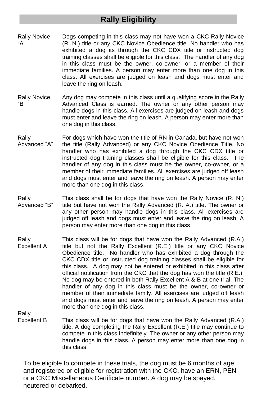## **Rally Eligibility**

- Rally Novice "A" Dogs competing in this class may not have won a CKC Rally Novice (R. N.) title or any CKC Novice Obedience title. No handler who has exhibited a dog its through the CKC CDX title or instructed dog training classes shall be eligible for this class. The handler of any dog in this class must be the owner, co-owner, or a member of their immediate families. A person may enter more than one dog in this class. All exercises are judged on leash and dogs must enter and leave the ring on leash.
- Rally Novice "B" Any dog may compete in this class until a qualifying score in the Rally Advanced Class is earned. The owner or any other person may handle dogs in this class. All exercises are judged on leash and dogs must enter and leave the ring on leash. A person may enter more than one dog in this class.
- Rally Advanced "A" For dogs which have won the title of RN in Canada, but have not won the title (Rally Advanced) or any CKC Novice Obedience Title. No handler who has exhibited a dog through the CKC CDX title or instructed dog training classes shall be eligible for this class. The handler of any dog in this class must be the owner, co-owner, or a member of their immediate families. All exercises are judged off leash and dogs must enter and leave the ring on leash. A person may enter more than one dog in this class.
- Rally Advanced "B" This class shall be for dogs that have won the Rally Novice (R. N.) title but have not won the Rally Advanced (R. A.) title. The owner or any other person may handle dogs in this class. All exercises are judged off leash and dogs must enter and leave the ring on leash. A person may enter more than one dog in this class.
- Rally Excellent A This class will be for dogs that have won the Rally Advanced (R.A.) title but not the Rally Excellent (R.E.) title or any CKC Novice Obedience title. No handler who has exhibited a dog through the CKC CDX title or instructed dog training classes shall be eligible for this class. A dog may not be entered or exhibited in this class after official notification from the CKC that the dog has won the title (R.E.). No dog may be entered in both Rally Excellent A & B at one trial. The handler of any dog in this class must be the owner, co-owner or member of their immediate family. All exercises are judged off leash and dogs must enter and leave the ring on leash. A person may enter more than one dog in this class.

Rally

Excellent B This class will be for dogs that have won the Rally Advanced (R.A.) title. A dog completing the Rally Excellent (R.E.) title may continue to compete in this class indefinitely. The owner or any other person may handle dogs in this class. A person may enter more than one dog in this class.

To be eligible to compete in these trials, the dog must be 6 months of age and registered or eligible for registration with the CKC, have an ERN, PEN or a CKC Miscellaneous Certificate number. A dog may be spayed, neutered or debarked.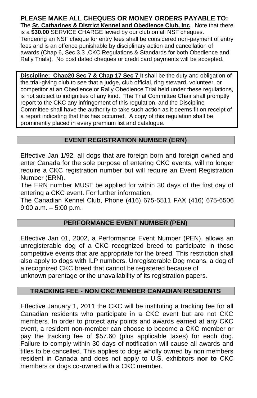## **PLEASE MAKE ALL CHEQUES OR MONEY ORDERS PAYABLE TO:**

The **St. Catharines & District Kennel and Obedience Club, Inc**. Note that there is a **\$30.00** SERVICE CHARGE levied by our club on all NSF cheques. Tendering an NSF cheque for entry fees shall be considered non-payment of entry fees and is an offence punishable by disciplinary action and cancellation of awards (Chap 6, Sec 3.3 ,CKC Regulations & Standards for both Obedience and Rally Trials). No post dated cheques or credit card payments will be accepted.

**Discipline: Chap20 Sec 7 & Chap 17 Sec 7** It shall be the duty and obligation of the trial-giving club to see that a judge, club official, ring steward, volunteer, or competitor at an Obedience or Rally Obedience Trial held under these regulations, is not subject to indignities of any kind. The Trial Committee Chair shall promptly report to the CKC any infringement of this regulation, and the Discipline Committee shall have the authority to take such action as it deems fit on receipt of a report indicating that this has occurred. A copy of this regulation shall be prominently placed in every premium list and catalogue.

#### **EVENT REGISTRATION NUMBER (ERN)**

Effective Jan 1/92, all dogs that are foreign born and foreign owned and enter Canada for the sole purpose of entering CKC events, will no longer require a CKC registration number but will require an Event Registration Number (ERN).

The ERN number MUST be applied for within 30 days of the first day of entering a CKC event. For further information,

The Canadian Kennel Club, Phone (416) 675-5511 FAX (416) 675-6506 9:00 a.m. – 5:00 p.m.

#### **PERFORMANCE EVENT NUMBER (PEN)**

Effective Jan 01, 2002, a Performance Event Number (PEN), allows an unregisterable dog of a CKC recognized breed to participate in those competitive events that are appropriate for the breed. This restriction shall also apply to dogs with ILP numbers. Unregisterable Dog means, a dog of a recognized CKC breed that cannot be registered because of unknown parentage or the unavailability of its registration papers.

#### **TRACKING FEE - NON CKC MEMBER CANADIAN RESIDENTS**

Effective January 1, 2011 the CKC will be instituting a tracking fee for all Canadian residents who participate in a CKC event but are not CKC members. In order to protect any points and awards earned at any CKC event, a resident non-member can choose to become a CKC member or pay the tracking fee of \$57.60 (plus applicable taxes) for each dog. Failure to comply within 30 days of notification will cause all awards and titles to be cancelled. This applies to dogs wholly owned by non members resident in Canada and does not apply to U.S. exhibitors **nor to** CKC members or dogs co-owned with a CKC member.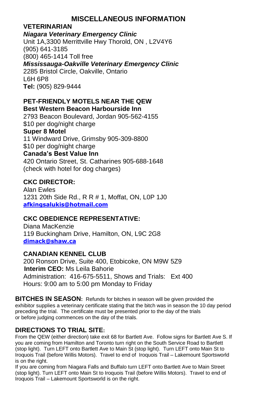## **MISCELLANEOUS INFORMATION**

#### **VETERINARIAN**

#### *Niagara Veterinary Emergency Clinic*

Unit 1A,3300 Merrittville Hwy Thorold, ON , L2V4Y6 (905) 641-3185 (800) 465-1414 Toll free *Mississauga-Oakville Veterinary Emergency Clinic* 2285 Bristol Circle, Oakville, Ontario L6H 6P8 **Tel:** (905) 829-9444

#### **PET-FRIENDLY MOTELS NEAR THE QEW Best Western Beacon Harbourside Inn**

2793 Beacon Boulevard, Jordan 905-562-4155 \$10 per dog/night charge **Super 8 Motel** 11 Windward Drive, Grimsby 905-309-8800 \$10 per dog/night charge **Canada's Best Value Inn** 420 Ontario Street, St. Catharines 905-688-1648 (check with hotel for dog charges)

#### **CKC DIRECTOR:**

Alan Ewles 1231 20th Side Rd., R R # 1, Moffat, ON, L0P 1J0 **[afkingsalukis@hotmail.com](mailto:afkingsalukis@hotmail.com)**

#### **CKC OBEDIENCE REPRESENTATIVE:**

Diana MacKenzie 119 Buckingham Drive, Hamilton, ON, L9C 2G8 **[dimack@shaw.ca](mailto:dimack@shaw.ca)**

#### **CANADIAN KENNEL CLUB**

200 Ronson Drive, Suite 400, Etobicoke, ON M9W 5Z9  **Interim CEO:** Ms Leila Bahorie Administration: 416-675-5511, Shows and Trials: Ext 400 Hours: 9:00 am to 5:00 pm Monday to Friday

**BITCHES IN SEASON:** Refunds for bitches in season will be given provided the exhibitor supplies a veterinary certificate stating that the bitch was in season the 10 day period preceding the trial. The certificate must be presented prior to the day of the trials or before judging commences on the day of the trials.

### **DIRECTIONS TO TRIAL SITE:**

From the QEW (either direction) take exit 68 for Bartlett Ave. Follow signs for Bartlett Ave S. If you are coming from Hamilton and Toronto turn right on the South Service Road to Bartlett (stop light). Turn LEFT onto Bartlett Ave to Main St (stop light). Turn LEFT onto Main St to Iroquois Trail (before Willis Motors). Travel to end of Iroquois Trail – Lakemount Sportsworld is on the right.

If you are coming from Niagara Falls and Buffalo turn LEFT onto Bartlett Ave to Main Street (stop light). Turn LEFT onto Main St to Iroquois Trail (before Willis Motors). Travel to end of Iroquois Trail – Lakemount Sportsworld is on the right.